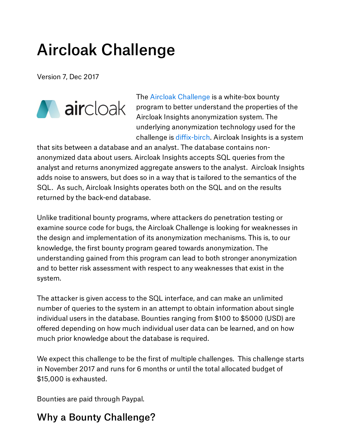# Aircloak Challenge

Version 7, Dec 2017



The Aircloak [Challenge](http://challenge.aircloak.com/) is a white-box bounty program to better understand the properties of the Aircloak Insights anonymization system. The underlying anonymization technology used for the challenge is [diffix-birch](https://arxiv.org/abs/1806.02075). Aircloak Insights is a system

that sits between a database and an analyst. The database contains nonanonymized data about users. Aircloak Insights accepts SQL queries from the analyst and returns anonymized aggregate answers to the analyst. Aircloak Insights adds noise to answers, but does so in a way that is tailored to the semantics of the SQL. As such, Aircloak Insights operates both on the SQL and on the results returned by the back-end database.

Unlike traditional bounty programs, where attackers do penetration testing or examine source code for bugs, the Aircloak Challenge is looking for weaknesses in the design and implementation of its anonymization mechanisms. This is, to our knowledge, the first bounty program geared towards anonymization. The understanding gained from this program can lead to both stronger anonymization and to better risk assessment with respect to any weaknesses that exist in the system.

The attacker is given access to the SQL interface, and can make an unlimited number of queries to the system in an attempt to obtain information about single individual users in the database. Bounties ranging from \$100 to \$5000 (USD) are offered depending on how much individual user data can be learned, and on how much prior knowledge about the database is required.

We expect this challenge to be the first of multiple challenges. This challenge starts in November 2017 and runs for 6 months or until the total allocated budget of \$15,000 is exhausted.

Bounties are paid through Paypal.

#### Why a Bounty Challenge?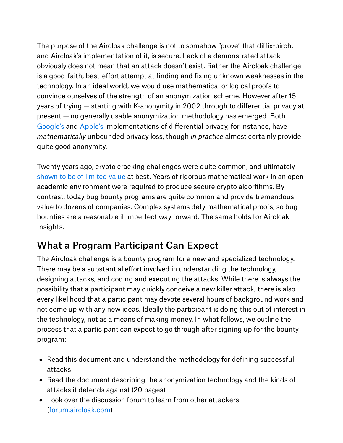The purpose of the Aircloak challenge is not to somehow "prove" that diffix-birch, and Aircloak's implementation of it, is secure. Lack of a demonstrated attack obviously does not mean that an attack doesn't exist. Rather the Aircloak challenge is a good-faith, best-effort attempt at finding and fixing unknown weaknesses in the technology. In an ideal world, we would use mathematical or logical proofs to convince ourselves of the strength of an anonymization scheme. However after 15 years of trying — starting with K-anonymity in 2002 through to differential privacy at present — no generally usable anonymization methodology has emerged. Both [Google's](https://research.google.com/pubs/archive/42852.pdf) and [Apple's](https://arxiv.org/abs/1709.02753) implementations of differential privacy, for instance, have *mathematically* unbounded privacy loss, though *in practice* almost certainly provide quite good anonymity.

Twenty years ago, crypto cracking challenges were quite common, and ultimately shown to be of [limited](https://www.schneier.com/crypto-gram/archives/1998/1215.html#1) value at best. Years of rigorous mathematical work in an open academic environment were required to produce secure crypto algorithms. By contrast, today bug bounty programs are quite common and provide tremendous value to dozens of companies. Complex systems defy mathematical proofs, so bug bounties are a reasonable if imperfect way forward. The same holds for Aircloak Insights.

#### What a Program Participant Can Expect

The Aircloak challenge is a bounty program for a new and specialized technology. There may be a substantial effort involved in understanding the technology, designing attacks, and coding and executing the attacks. While there is always the possibility that a participant may quickly conceive a new killer attack, there is also every likelihood that a participant may devote several hours of background work and not come up with any new ideas. Ideally the participant is doing this out of interest in the technology, not as a means of making money. In what follows, we outline the process that a participant can expect to go through after signing up for the bounty program:

- Read this document and understand the methodology for defining successful attacks
- Read the document describing the anonymization technology and the kinds of attacks it defends against (20 pages)
- Look over the discussion forum to learn from other attackers ([forum.aircloak.com](http://forum.aircloak.com/))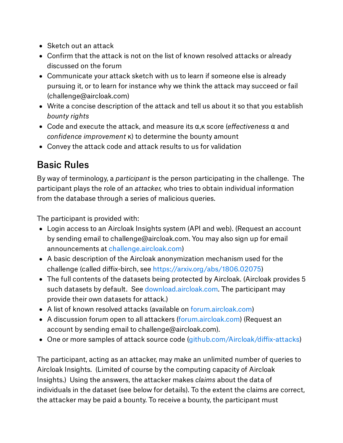- Sketch out an attack
- Confirm that the attack is not on the list of known resolved attacks or already discussed on the forum
- Communicate your attack sketch with us to learn if someone else is already pursuing it, or to learn for instance why we think the attack may succeed or fail (challenge@aircloak.com)
- Write a concise description of the attack and tell us about it so that you establish *bounty rights*
- Code and execute the attack, and measure its α,κ score (*effectiveness* α and *confidence improvement* κ) to determine the bounty amount
- Convey the attack code and attack results to us for validation

### Basic Rules

By way of terminology, a *participant* is the person participating in the challenge. The participant plays the role of an *attacker,* who tries to obtain individual information from the database through a series of malicious queries.

The participant is provided with:

- Login access to an Aircloak Insights system (API and web). (Request an account by sending email to challenge@aircloak.com. You may also sign up for email announcements at [challenge.aircloak.com\)](http://challenge.aircloak.com/)
- A basic description of the Aircloak anonymization mechanism used for the challenge (called diffix-birch, see <https://arxiv.org/abs/1806.02075>)
- The full contents of the datasets being protected by Aircloak. (Aircloak provides 5 such datasets by default. See [download.aircloak.com](http://download.aircloak.com/). The participant may provide their own datasets for attack.)
- A list of known resolved attacks (available on [forum.aircloak.com](http://forum.aircloak.com/))
- A discussion forum open to all attackers ([forum.aircloak.com](http://forum.aircloak.com/)) (Request an account by sending email to challenge@aircloak.com).
- One or more samples of attack source code ([github.com/Aircloak/diffix-attacks\)](http://github.com/Aircloak/diffix-attacks)

The participant, acting as an attacker, may make an unlimited number of queries to Aircloak Insights. (Limited of course by the computing capacity of Aircloak Insights.) Using the answers, the attacker makes *claims* about the data of individuals in the dataset (see below for details). To the extent the claims are correct, the attacker may be paid a bounty. To receive a bounty, the participant must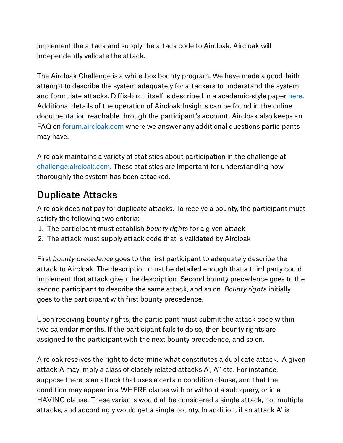implement the attack and supply the attack code to Aircloak. Aircloak will independently validate the attack.

The Aircloak Challenge is a white-box bounty program. We have made a good-faith attempt to describe the system adequately for attackers to understand the system and formulate attacks. Diffix-birch itself is described in a academic-style paper [here](https://arxiv.org/abs/1806.02075). Additional details of the operation of Aircloak Insights can be found in the online documentation reachable through the participant's account. Aircloak also keeps an FAQ on [forum.aircloak.com](http://forum.aircloak.com/) where we answer any additional questions participants may have.

Aircloak maintains a variety of statistics about participation in the challenge at [challenge.aircloak.com](http://challenge.aircloak.com/). These statistics are important for understanding how thoroughly the system has been attacked.

#### Duplicate Attacks

Aircloak does not pay for duplicate attacks. To receive a bounty, the participant must satisfy the following two criteria:

- . The participant must establish *bounty rights* for a given attack
- . The attack must supply attack code that is validated by Aircloak

First *bounty precedence* goes to the first participant to adequately describe the attack to Aircloak. The description must be detailed enough that a third party could implement that attack given the description. Second bounty precedence goes to the second participant to describe the same attack, and so on. *Bounty rights* initially goes to the participant with first bounty precedence.

Upon receiving bounty rights, the participant must submit the attack code within two calendar months. If the participant fails to do so, then bounty rights are assigned to the participant with the next bounty precedence, and so on.

Aircloak reserves the right to determine what constitutes a duplicate attack. A given attack A may imply a class of closely related attacks A', A'' etc. For instance, suppose there is an attack that uses a certain condition clause, and that the condition may appear in a WHERE clause with or without a sub-query, or in a HAVING clause. These variants would all be considered a single attack, not multiple attacks, and accordingly would get a single bounty. In addition, if an attack A' is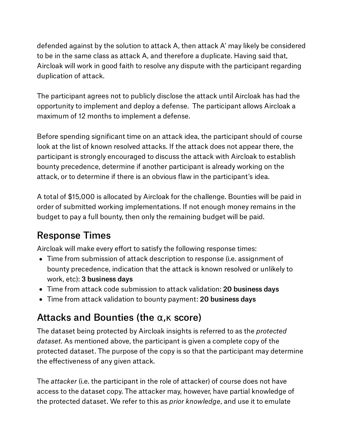defended against by the solution to attack A, then attack A' may likely be considered to be in the same class as attack A, and therefore a duplicate. Having said that, Aircloak will work in good faith to resolve any dispute with the participant regarding duplication of attack.

The participant agrees not to publicly disclose the attack until Aircloak has had the opportunity to implement and deploy a defense. The participant allows Aircloak a maximum of 12 months to implement a defense.

Before spending significant time on an attack idea, the participant should of course look at the list of known resolved attacks. If the attack does not appear there, the participant is strongly encouraged to discuss the attack with Aircloak to establish bounty precedence, determine if another participant is already working on the attack, or to determine if there is an obvious flaw in the participant's idea.

A total of \$15,000 is allocated by Aircloak for the challenge. Bounties will be paid in order of submitted working implementations. If not enough money remains in the budget to pay a full bounty, then only the remaining budget will be paid.

### Response Times

Aircloak will make every effort to satisfy the following response times:

- Time from submission of attack description to response (i.e. assignment of bounty precedence, indication that the attack is known resolved or unlikely to work, etc): 3 business days
- Time from attack code submission to attack validation: 20 business days
- Time from attack validation to bounty payment: 20 business days

### Attacks and Bounties (the  $\alpha$ ,  $\kappa$  score)

The dataset being protected by Aircloak insights is referred to as the *protected dataset*. As mentioned above, the participant is given a complete copy of the protected dataset. The purpose of the copy is so that the participant may determine the effectiveness of any given attack.

The *attacker* (i.e. the participant in the role of attacker) of course does not have access to the dataset copy. The attacker may, however, have partial knowledge of the protected dataset. We refer to this as *prior knowledge*, and use it to emulate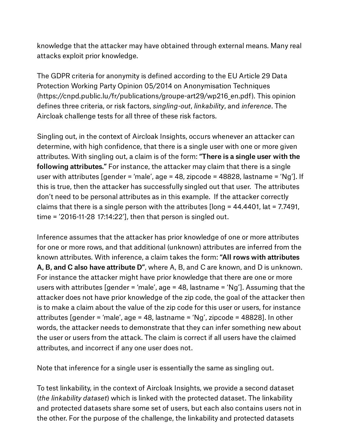knowledge that the attacker may have obtained through external means. Many real attacks exploit prior knowledge.

The GDPR criteria for anonymity is defined according to the EU Article 29 Data Protection Working Party Opinion 05/2014 on Anonymisation Techniques (https://cnpd.public.lu/fr/publications/groupe-art29/wp216\_en.pdf). This opinion defines three criteria, or risk factors, *singling-out*, *linkability*, and *inference*. The Aircloak challenge tests for all three of these risk factors.

Singling out, in the context of Aircloak Insights, occurs whenever an attacker can determine, with high confidence, that there is a single user with one or more given attributes. With singling out, a claim is of the form: "There is a single user with the following attributes." For instance, the attacker may claim that there is a single user with attributes [gender = 'male', age = 48, zipcode = 48828, lastname = 'Ng']. If this is true, then the attacker has successfully singled out that user. The attributes don't need to be personal attributes as in this example. If the attacker correctly claims that there is a single person with the attributes [long = 44.4401, lat = 7.7491, time = '2016-11-28 17:14:22'], then that person is singled out.

Inference assumes that the attacker has prior knowledge of one or more attributes for one or more rows, and that additional (unknown) attributes are inferred from the known attributes. With inference, a claim takes the form: "All rows with attributes A, B, and C also have attribute D", where A, B, and C are known, and D is unknown. For instance the attacker might have prior knowledge that there are one or more users with attributes [gender = 'male', age = 48, lastname = 'Ng']. Assuming that the attacker does not have prior knowledge of the zip code, the goal of the attacker then is to make a claim about the value of the zip code for this user or users, for instance attributes [gender = 'male', age = 48, lastname = 'Ng', zipcode = 48828]. In other words, the attacker needs to demonstrate that they can infer something new about the user or users from the attack. The claim is correct if all users have the claimed attributes, and incorrect if any one user does not.

Note that inference for a single user is essentially the same as singling out.

To test linkability, in the context of Aircloak Insights, we provide a second dataset (*the linkability dataset*) which is linked with the protected dataset. The linkability and protected datasets share some set of users, but each also contains users not in the other. For the purpose of the challenge, the linkability and protected datasets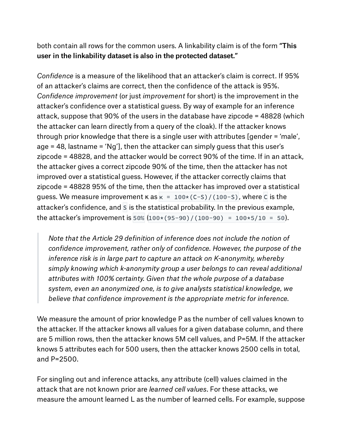both contain all rows for the common users. A linkability claim is of the form "This user in the linkability dataset is also in the protected dataset."

*Confidence* is a measure of the likelihood that an attacker's claim is correct. If 95% of an attacker's claims are correct, then the confidence of the attack is 95%. *Confidence improvement* (or just *improvement* for short) is the improvement in the attacker's confidence over a statistical guess. By way of example for an inference attack, suppose that 90% of the users in the database have zipcode = 48828 (which the attacker can learn directly from a query of the cloak). If the attacker knows through prior knowledge that there is a single user with attributes [gender = 'male', age = 48, lastname = 'Ng'], then the attacker can simply guess that this user's zipcode = 48828, and the attacker would be correct 90% of the time. If in an attack, the attacker gives a correct zipcode 90% of the time, then the attacker has not improved over a statistical guess. However, if the attacker correctly claims that zipcode = 48828 95% of the time, then the attacker has improved over a statistical guess. We measure improvement  $\kappa$  as  $\kappa = 100 \times (C-S)/(100-S)$ , where C is the attacker's confidence, and S is the statistical probability. In the previous example, the attacker's improvement is  $50\%$  (100 $*(95-90)/(100-90) = 100*5/10 = 50$ ).

*Note that the Article 29 definition of inference does not include the notion of confidence improvement, rather only of confidence. However, the purpose of the inference risk is in large part to capture an attack on K-anonymity, whereby simply knowing which k-anonymity group a user belongs to can reveal additional attributes with 100% certainty. Given that the whole purpose of a database system, even an anonymized one, is to give analysts statistical knowledge, we believe that confidence improvement is the appropriate metric for inference.*

We measure the amount of prior knowledge P as the number of cell values known to the attacker. If the attacker knows all values for a given database column, and there are 5 million rows, then the attacker knows 5M cell values, and P=5M. If the attacker knows 5 attributes each for 500 users, then the attacker knows 2500 cells in total, and P=2500.

For singling out and inference attacks, any attribute (cell) values claimed in the attack that are not known prior are *learned cell values*. For these attacks, we measure the amount learned L as the number of learned cells. For example, suppose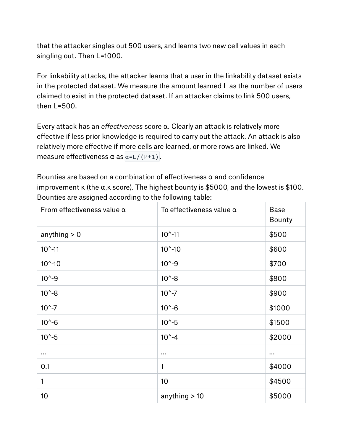that the attacker singles out 500 users, and learns two new cell values in each singling out. Then L=1000.

For linkability attacks, the attacker learns that a user in the linkability dataset exists in the protected dataset. We measure the amount learned L as the number of users claimed to exist in the protected dataset. If an attacker claims to link 500 users, then L=500.

Every attack has an *effectiveness* score α. Clearly an attack is relatively more effective if less prior knowledge is required to carry out the attack. An attack is also relatively more effective if more cells are learned, or more rows are linked. We measure effectiveness  $\alpha$  as  $\alpha = L/(P+1)$ .

Bounties are based on a combination of effectiveness  $\alpha$  and confidence improvement  $\kappa$  (the  $\alpha$ ,  $\kappa$  score). The highest bounty is \$5000, and the lowest is \$100. Bounties are assigned according to the following table:

| From effectiveness value $\alpha$ | To effectiveness value $\alpha$ | <b>Base</b><br><b>Bounty</b> |
|-----------------------------------|---------------------------------|------------------------------|
| anything $> 0$                    | $10^{\circ} - 11$               | \$500                        |
| $10^{\circ} - 11$                 | $10^{\circ} - 10$               | \$600                        |
| $10^{\circ} - 10$                 | $10^{\circ} - 9$                | \$700                        |
| $10^{\circ} - 9$                  | $10^{\circ} - 8$                | \$800                        |
| $10^{\circ} - 8$                  | $10^{\circ} - 7$                | \$900                        |
| $10^{\circ} - 7$                  | $10^{\circ} - 6$                | \$1000                       |
| $10^{\circ} - 6$                  | $10^{\circ} - 5$                | \$1500                       |
| $10^{\circ} - 5$                  | $10^{\circ} - 4$                | \$2000                       |
|                                   |                                 | $\cdots$                     |
| 0.1                               | 1                               | \$4000                       |
| 1                                 | 10                              | \$4500                       |
| 10 <sup>1</sup>                   | anything $>10$                  | \$5000                       |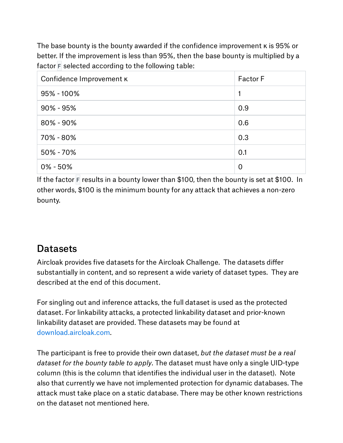The base bounty is the bounty awarded if the confidence improvement κ is 95% or better. If the improvement is less than 95%, then the base bounty is multiplied by a factor F selected according to the following table:

| Confidence Improvement K | <b>Factor F</b> |
|--------------------------|-----------------|
| 95% - 100%               | 1               |
| $90\% - 95\%$            | 0.9             |
| $80\% - 90\%$            | 0.6             |
| 70% - 80%                | 0.3             |
| 50% - 70%                | 0.1             |
| $0\% - 50\%$             | $\overline{0}$  |

If the factor  $F$  results in a bounty lower than \$100, then the bounty is set at \$100. In other words, \$100 is the minimum bounty for any attack that achieves a non-zero bounty.

#### **Datasets**

Aircloak provides five datasets for the Aircloak Challenge. The datasets differ substantially in content, and so represent a wide variety of dataset types. They are described at the end of this document.

For singling out and inference attacks, the full dataset is used as the protected dataset. For linkability attacks, a protected linkability dataset and prior-known linkability dataset are provided. These datasets may be found at [download.aircloak.com](http://download.aircloak.com/).

The participant is free to provide their own dataset, *but the dataset must be a real dataset for the bounty table to apply*. The dataset must have only a single UID-type column (this is the column that identifies the individual user in the dataset). Note also that currently we have not implemented protection for dynamic databases. The attack must take place on a static database. There may be other known restrictions on the dataset not mentioned here.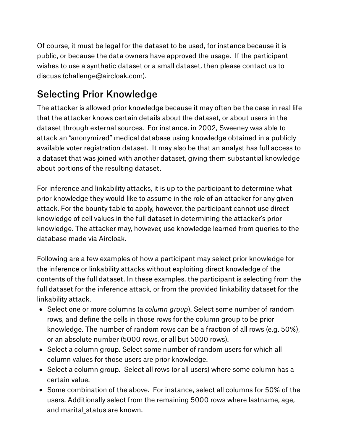Of course, it must be legal for the dataset to be used, for instance because it is public, or because the data owners have approved the usage. If the participant wishes to use a synthetic dataset or a small dataset, then please contact us to discuss (challenge@aircloak.com).

### Selecting Prior Knowledge

The attacker is allowed prior knowledge because it may often be the case in real life that the attacker knows certain details about the dataset, or about users in the dataset through external sources. For instance, in 2002, Sweeney was able to attack an "anonymized" medical database using knowledge obtained in a publicly available voter registration dataset. It may also be that an analyst has full access to a dataset that was joined with another dataset, giving them substantial knowledge about portions of the resulting dataset.

For inference and linkability attacks, it is up to the participant to determine what prior knowledge they would like to assume in the role of an attacker for any given attack. For the bounty table to apply, however, the participant cannot use direct knowledge of cell values in the full dataset in determining the attacker's prior knowledge. The attacker may, however, use knowledge learned from queries to the database made via Aircloak.

Following are a few examples of how a participant may select prior knowledge for the inference or linkability attacks without exploiting direct knowledge of the contents of the full dataset. In these examples, the participant is selecting from the full dataset for the inference attack, or from the provided linkability dataset for the linkability attack.

- Select one or more columns (a *column group*). Select some number of random rows, and define the cells in those rows for the column group to be prior knowledge. The number of random rows can be a fraction of all rows (e.g. 50%), or an absolute number (5000 rows, or all but 5000 rows).
- Select a column group. Select some number of random users for which all column values for those users are prior knowledge.
- Select a column group. Select all rows (or all users) where some column has a certain value.
- Some combination of the above. For instance, select all columns for 50% of the users. Additionally select from the remaining 5000 rows where lastname, age, and marital\_status are known.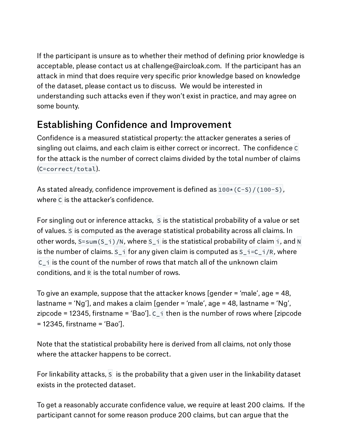If the participant is unsure as to whether their method of defining prior knowledge is acceptable, please contact us at challenge@aircloak.com. If the participant has an attack in mind that does require very specific prior knowledge based on knowledge of the dataset, please contact us to discuss. We would be interested in understanding such attacks even if they won't exist in practice, and may agree on some bounty.

### Establishing Confidence and Improvement

Confidence is a measured statistical property: the attacker generates a series of singling out claims, and each claim is either correct or incorrect. The confidence C for the attack is the number of correct claims divided by the total number of claims (C=correct/total).

As stated already, confidence improvement is defined as  $100*(C-S)/(100-S)$ , where C is the attacker's confidence.

For singling out or inference attacks, S is the statistical probability of a value or set of values. S is computed as the average statistical probability across all claims. In other words,  $S=sum(S_i) / N$ , where  $S_i$  is the statistical probability of claim i, and N is the number of claims.  $S_i$  for any given claim is computed as  $S_i = C_i/R$ , where  $\overline{C}$  i is the count of the number of rows that match all of the unknown claim conditions, and R is the total number of rows.

To give an example, suppose that the attacker knows [gender = 'male', age = 48, lastname = 'Ng'], and makes a claim [gender = 'male', age = 48, lastname = 'Ng', zipcode = 12345, firstname = 'Bao'].  $C_i$  then is the number of rows where [zipcode = 12345, firstname = 'Bao'].

Note that the statistical probability here is derived from all claims, not only those where the attacker happens to be correct.

For linkability attacks, S is the probability that a given user in the linkability dataset exists in the protected dataset.

To get a reasonably accurate confidence value, we require at least 200 claims. If the participant cannot for some reason produce 200 claims, but can argue that the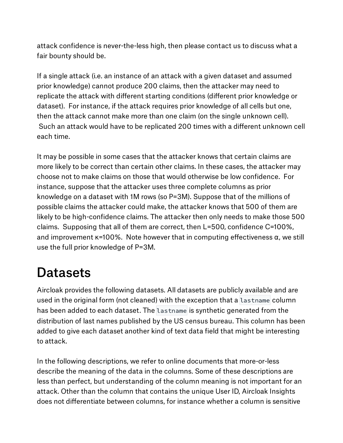attack confidence is never-the-less high, then please contact us to discuss what a fair bounty should be.

If a single attack (i.e. an instance of an attack with a given dataset and assumed prior knowledge) cannot produce 200 claims, then the attacker may need to replicate the attack with different starting conditions (different prior knowledge or dataset). For instance, if the attack requires prior knowledge of all cells but one, then the attack cannot make more than one claim (on the single unknown cell). Such an attack would have to be replicated 200 times with a different unknown cell each time.

It may be possible in some cases that the attacker knows that certain claims are more likely to be correct than certain other claims. In these cases, the attacker may choose not to make claims on those that would otherwise be low confidence. For instance, suppose that the attacker uses three complete columns as prior knowledge on a dataset with 1M rows (so P=3M). Suppose that of the millions of possible claims the attacker could make, the attacker knows that 500 of them are likely to be high-confidence claims. The attacker then only needs to make those 500 claims. Supposing that all of them are correct, then L=500, confidence C=100%, and improvement  $\kappa$ =100%. Note however that in computing effectiveness  $\alpha$ , we still use the full prior knowledge of P=3M.

## **Datasets**

Aircloak provides the following datasets. All datasets are publicly available and are used in the original form (not cleaned) with the exception that a lastname column has been added to each dataset. The lastname is synthetic generated from the distribution of last names published by the US census bureau. This column has been added to give each dataset another kind of text data field that might be interesting to attack.

In the following descriptions, we refer to online documents that more-or-less describe the meaning of the data in the columns. Some of these descriptions are less than perfect, but understanding of the column meaning is not important for an attack. Other than the column that contains the unique User ID, Aircloak Insights does not differentiate between columns, for instance whether a column is sensitive